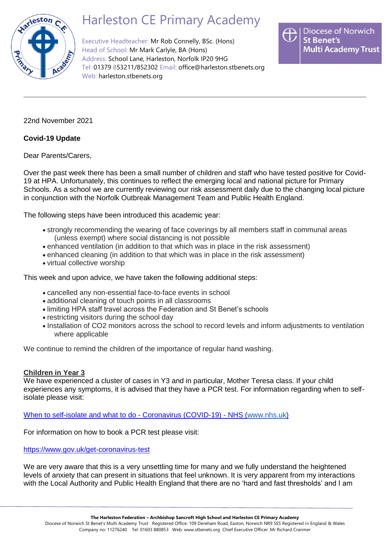

## Harleston CE Primary Academy

Executive Headteacher: Mr Rob Connelly, BSc. (Hons) Head of School: Mr Mark Carlyle, BA (Hons) Address: School Lane, Harleston, Norfolk IP20 9HG Tel: 01379 853211/852302 Email: [office@harleston.stbenets.org](mailto:office@harleston.stbenets.org) Web: [harleston.stbenets.org](https://harleston.stbenets.org/)



22nd November 2021

## **Covid-19 Update**

Dear Parents/Carers,

Over the past week there has been a small number of children and staff who have tested positive for Covid-19 at HPA. Unfortunately, this continues to reflect the emerging local and national picture for Primary Schools. As a school we are currently reviewing our risk assessment daily due to the changing local picture in conjunction with the Norfolk Outbreak Management Team and Public Health England.

The following steps have been introduced this academic year:

- strongly recommending the wearing of face coverings by all members staff in communal areas (unless exempt) where social distancing is not possible
- enhanced ventilation (in addition to that which was in place in the risk assessment)
- enhanced cleaning (in addition to that which was in place in the risk assessment)
- virtual collective worship

This week and upon advice, we have taken the following additional steps:

- cancelled any non-essential face-to-face events in school
- additional cleaning of touch points in all classrooms
- limiting HPA staff travel across the Federation and St Benet's schools
- restricting visitors during the school day
- Installation of CO2 monitors across the school to record levels and inform adjustments to ventilation where applicable

We continue to remind the children of the importance of regular hand washing.

## **Children in Year 3**

We have experienced a cluster of cases in Y3 and in particular, Mother Teresa class. If your child experiences any symptoms, it is advised that they have a PCR test. For information regarding when to selfisolate please visit:

[When to self-isolate and what to do -](https://www.nhs.uk/conditions/coronavirus-covid-19/self-isolation-and-treatment/when-to-self-isolate-and-what-to-do/) Coronavirus (COVID-19) - NHS [\(www.nhs.uk](http://www.nhs.uk/)[\)](https://www.nhs.uk/conditions/coronavirus-covid-19/self-isolation-and-treatment/when-to-self-isolate-and-what-to-do/)

For information on how to book a PCR test please visit:

## <https://www.gov.uk/get-coronavirus-test>

We are very aware that this is a very unsettling time for many and we fully understand the heightened levels of anxiety that can present in situations that feel unknown. It is very apparent from my interactions with the Local Authority and Public Health England that there are no 'hard and fast thresholds' and I am